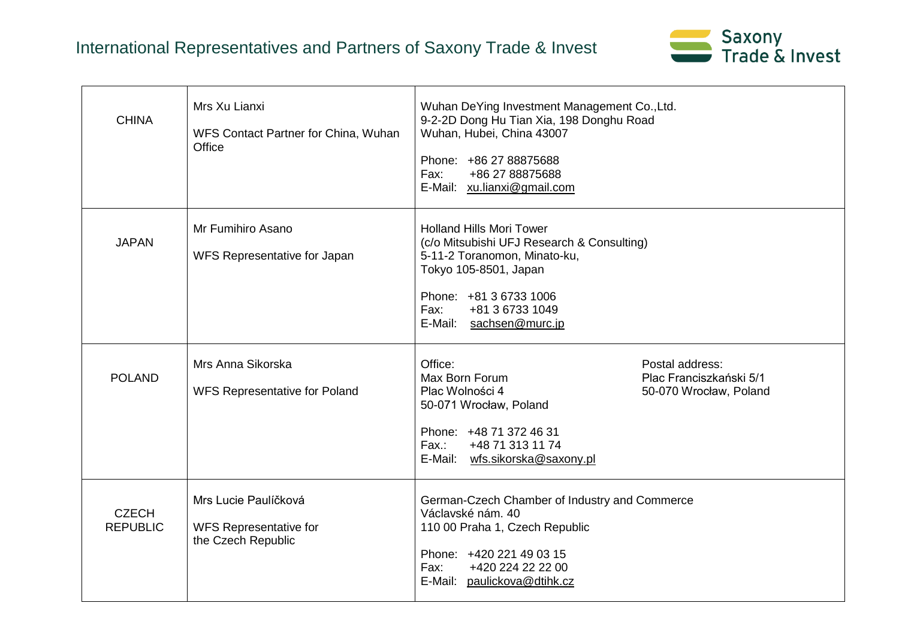## International Representatives and Partners of Saxony Trade & Invest



| <b>CHINA</b>                    | Mrs Xu Lianxi<br>WFS Contact Partner for China, Wuhan<br>Office             | Wuhan DeYing Investment Management Co., Ltd.<br>9-2-2D Dong Hu Tian Xia, 198 Donghu Road<br>Wuhan, Hubei, China 43007<br>Phone: +86 27 88875688<br>Fax:<br>+86 27 88875688<br>E-Mail: xu.lianxi@gmail.com              |                                                                      |
|---------------------------------|-----------------------------------------------------------------------------|------------------------------------------------------------------------------------------------------------------------------------------------------------------------------------------------------------------------|----------------------------------------------------------------------|
| <b>JAPAN</b>                    | Mr Fumihiro Asano<br>WFS Representative for Japan                           | <b>Holland Hills Mori Tower</b><br>(c/o Mitsubishi UFJ Research & Consulting)<br>5-11-2 Toranomon, Minato-ku,<br>Tokyo 105-8501, Japan<br>Phone: +81 3 6733 1006<br>+81 3 6733 1049<br>Fax:<br>E-Mail: sachsen@murc.jp |                                                                      |
| <b>POLAND</b>                   | Mrs Anna Sikorska<br><b>WFS Representative for Poland</b>                   | Office:<br>Max Born Forum<br>Plac Wolności 4<br>50-071 Wrocław, Poland<br>Phone: +48 71 372 46 31<br>+48 71 313 11 74<br>Fax.:<br>E-Mail: wfs.sikorska@saxony.pl                                                       | Postal address:<br>Plac Franciszkański 5/1<br>50-070 Wrocław, Poland |
| <b>CZECH</b><br><b>REPUBLIC</b> | Mrs Lucie Paulíčková<br><b>WFS Representative for</b><br>the Czech Republic | German-Czech Chamber of Industry and Commerce<br>Václavské nám. 40<br>110 00 Praha 1, Czech Republic<br>Phone: +420 221 49 03 15<br>+420 224 22 22 00<br>Fax:<br>E-Mail: paulickova@dtihk.cz                           |                                                                      |